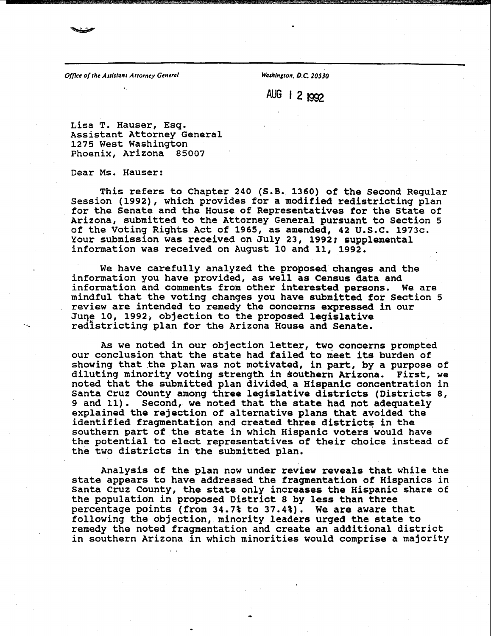**Office of the Assistant Attorney General Washington, D.C. 20530** 

**AUG 1 2 1992** 

**Lisa T. Hauser, Esq. Assistant Attorney General 1275 West Washington Phoenix, Arizona 85007** 

**Dear Ms. Hauser:** 

**This refers to Chapter 240 (S.B. 1360) of the Second Regular session (1992), which provides for a modified redistricting plan for the Senate and the House of Representatives for the State of Arizona, submitted to the Attorney General pursuant to Section 5 of the Voting Rights Act of 1965, as amended, 42 U.S.C. 1973c. Your submission was received on July 23, 1992; supplemental information was received on August 10 and 11, 1992.** 

**We have carefully analyzed the proposed changes and the information you have provided, as well as Census data and information and comments from other interested persons. We are mindful that the voting changes you have submitted for Section 5 review are intended to remedy the concerns expressed in our Juqe lo, 1992, objection to the proposed legislative redistricting plan for the Arizona House and Senate.** 

**As we noted in our objection letter, two concerns prompted our conclusion that the state had failed to meet its burden of showing that the plan was not motivated, in part, by a purpose of diluting minority voting strength in southern Arizona. First, we noted that the submitted plan divided-a Hispanic concentration in** Santa Cruz County among three legislative districts (Districts 8,<br>9 and 11). Second, we noted that the state had not adequately Second, we noted that the state had not adequately **explained the rejection of alternative plans that avoided the identified fragmentation and created three districts in the southern part of the state in which Hispanic voters would have the potential to elect representatives of their choice instead of the two districts in the submitted plan.** 

**Analysis of the plan now under review reveals that while the state appears to have addressed the fragmentation of Hispanics in Santa Cruz County, the state only increases the Hispanic share of the population in proposed District 8 by less than three percentage points (from 34.7% to 37.4%). We are aware that following the objection, minority leaders urged the state to remedy the noted fragmentation and create an additional district in southern Arizona in which minorities would comprise a majority**